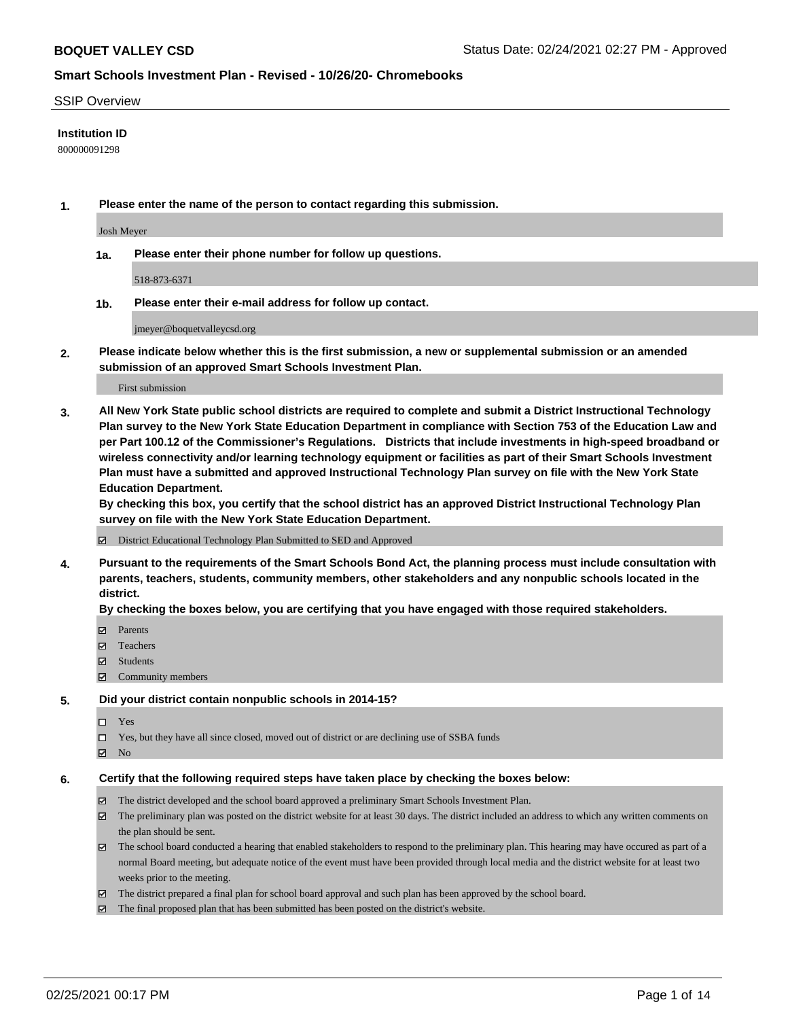### SSIP Overview

## **Institution ID**

800000091298

**1. Please enter the name of the person to contact regarding this submission.**

Josh Meyer

**1a. Please enter their phone number for follow up questions.**

518-873-6371

**1b. Please enter their e-mail address for follow up contact.**

jmeyer@boquetvalleycsd.org

**2. Please indicate below whether this is the first submission, a new or supplemental submission or an amended submission of an approved Smart Schools Investment Plan.**

#### First submission

**3. All New York State public school districts are required to complete and submit a District Instructional Technology Plan survey to the New York State Education Department in compliance with Section 753 of the Education Law and per Part 100.12 of the Commissioner's Regulations. Districts that include investments in high-speed broadband or wireless connectivity and/or learning technology equipment or facilities as part of their Smart Schools Investment Plan must have a submitted and approved Instructional Technology Plan survey on file with the New York State Education Department.** 

**By checking this box, you certify that the school district has an approved District Instructional Technology Plan survey on file with the New York State Education Department.**

District Educational Technology Plan Submitted to SED and Approved

**4. Pursuant to the requirements of the Smart Schools Bond Act, the planning process must include consultation with parents, teachers, students, community members, other stakeholders and any nonpublic schools located in the district.** 

#### **By checking the boxes below, you are certifying that you have engaged with those required stakeholders.**

- **Ø** Parents
- Teachers
- Students
- Community members

#### **5. Did your district contain nonpublic schools in 2014-15?**

- □ Yes
- □ Yes, but they have all since closed, moved out of district or are declining use of SSBA funds
- **Ø** No

### **6. Certify that the following required steps have taken place by checking the boxes below:**

- The district developed and the school board approved a preliminary Smart Schools Investment Plan.
- The preliminary plan was posted on the district website for at least 30 days. The district included an address to which any written comments on the plan should be sent.
- The school board conducted a hearing that enabled stakeholders to respond to the preliminary plan. This hearing may have occured as part of a normal Board meeting, but adequate notice of the event must have been provided through local media and the district website for at least two weeks prior to the meeting.
- The district prepared a final plan for school board approval and such plan has been approved by the school board.
- $\boxtimes$  The final proposed plan that has been submitted has been posted on the district's website.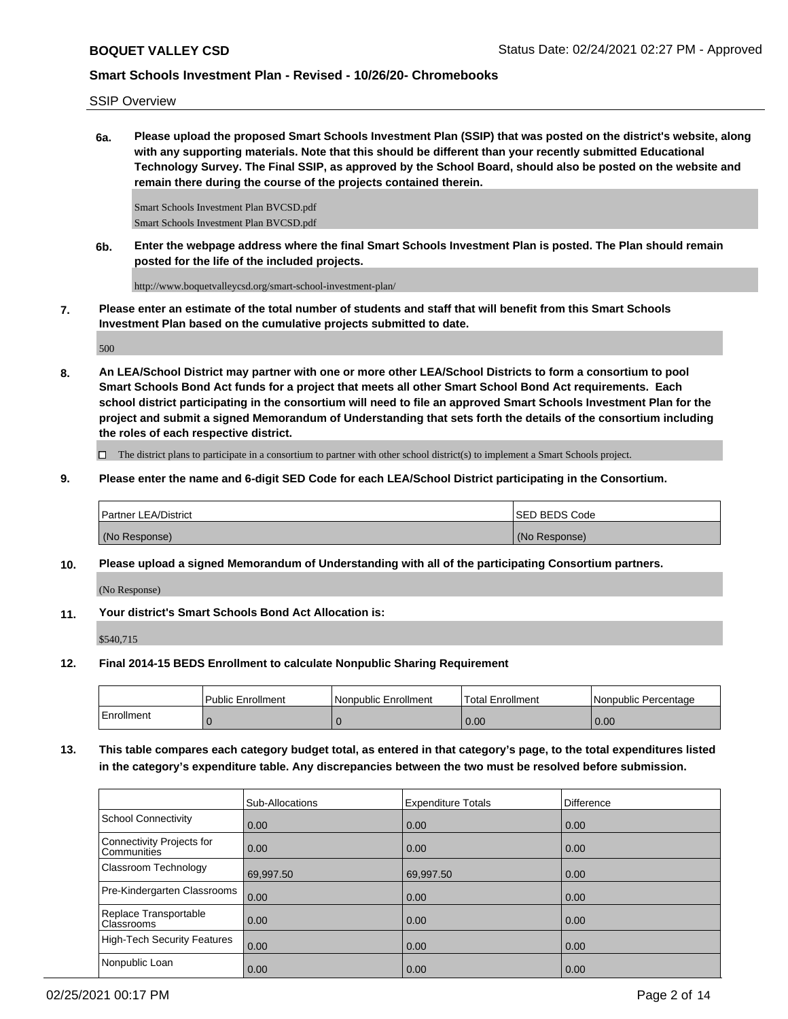SSIP Overview

**6a. Please upload the proposed Smart Schools Investment Plan (SSIP) that was posted on the district's website, along with any supporting materials. Note that this should be different than your recently submitted Educational Technology Survey. The Final SSIP, as approved by the School Board, should also be posted on the website and remain there during the course of the projects contained therein.**

Smart Schools Investment Plan BVCSD.pdf Smart Schools Investment Plan BVCSD.pdf

**6b. Enter the webpage address where the final Smart Schools Investment Plan is posted. The Plan should remain posted for the life of the included projects.**

http://www.boquetvalleycsd.org/smart-school-investment-plan/

**7. Please enter an estimate of the total number of students and staff that will benefit from this Smart Schools Investment Plan based on the cumulative projects submitted to date.**

500

**8. An LEA/School District may partner with one or more other LEA/School Districts to form a consortium to pool Smart Schools Bond Act funds for a project that meets all other Smart School Bond Act requirements. Each school district participating in the consortium will need to file an approved Smart Schools Investment Plan for the project and submit a signed Memorandum of Understanding that sets forth the details of the consortium including the roles of each respective district.**

 $\Box$  The district plans to participate in a consortium to partner with other school district(s) to implement a Smart Schools project.

**9. Please enter the name and 6-digit SED Code for each LEA/School District participating in the Consortium.**

| <b>Partner LEA/District</b> | <b>ISED BEDS Code</b> |
|-----------------------------|-----------------------|
| (No Response)               | (No Response)         |

**10. Please upload a signed Memorandum of Understanding with all of the participating Consortium partners.**

(No Response)

**11. Your district's Smart Schools Bond Act Allocation is:**

\$540,715

**12. Final 2014-15 BEDS Enrollment to calculate Nonpublic Sharing Requirement**

|            | <b>Public Enrollment</b> | Nonpublic Enrollment | Total Enrollment | l Nonpublic Percentage |
|------------|--------------------------|----------------------|------------------|------------------------|
| Enrollment |                          |                      | 0.00             | 0.00                   |

**13. This table compares each category budget total, as entered in that category's page, to the total expenditures listed in the category's expenditure table. Any discrepancies between the two must be resolved before submission.**

|                                                 | Sub-Allocations | <b>Expenditure Totals</b> | <b>Difference</b> |
|-------------------------------------------------|-----------------|---------------------------|-------------------|
| School Connectivity                             | 0.00            | 0.00                      | 0.00              |
| Connectivity Projects for<br><b>Communities</b> | 0.00            | 0.00                      | 0.00              |
| <b>Classroom Technology</b>                     | 69,997.50       | 69,997.50                 | 0.00              |
| Pre-Kindergarten Classrooms                     | 0.00            | 0.00                      | 0.00              |
| Replace Transportable<br>Classrooms             | 0.00            | 0.00                      | 0.00              |
| High-Tech Security Features                     | 0.00            | 0.00                      | 0.00              |
| Nonpublic Loan                                  | 0.00            | 0.00                      | 0.00              |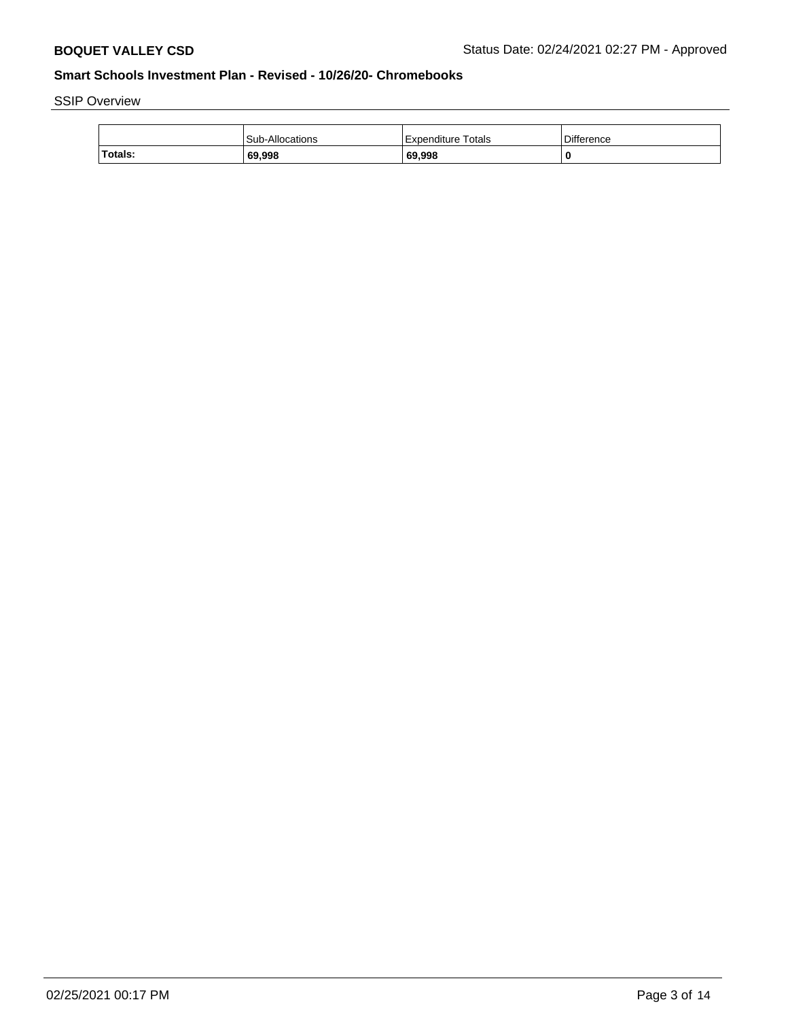SSIP Overview

|         | Sub-Allocations | Expenditure Totals | <b>Difference</b> |
|---------|-----------------|--------------------|-------------------|
| Totals: | 69,998          | 69,998             | 0                 |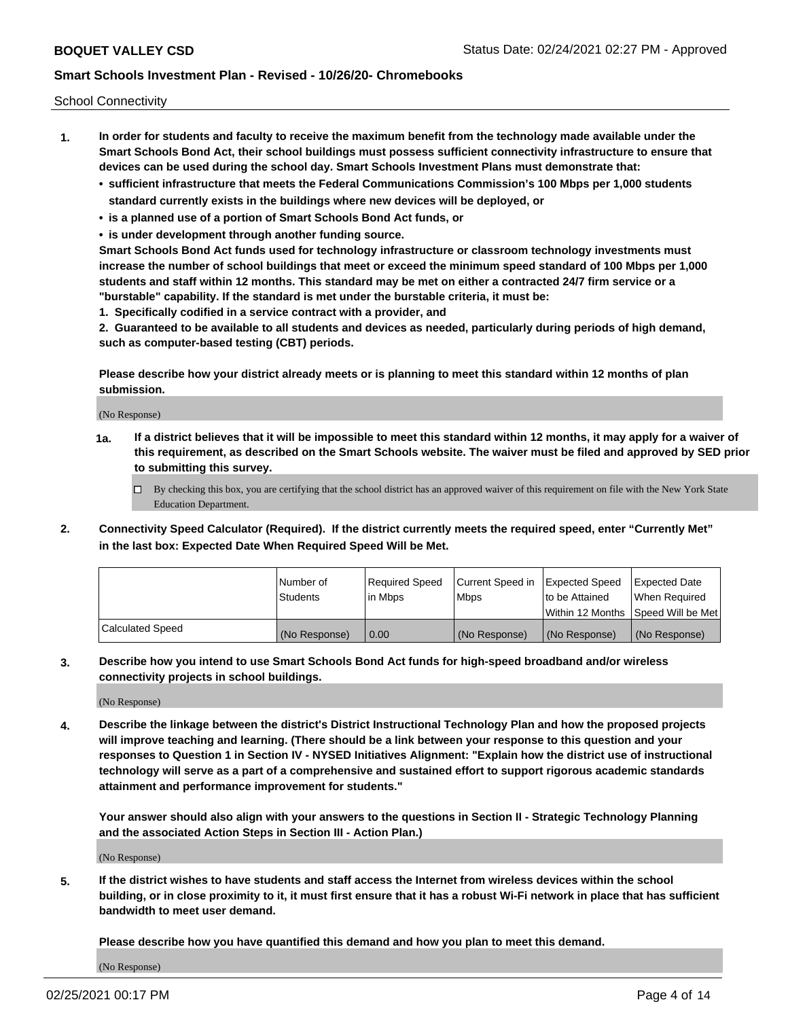School Connectivity

- **1. In order for students and faculty to receive the maximum benefit from the technology made available under the Smart Schools Bond Act, their school buildings must possess sufficient connectivity infrastructure to ensure that devices can be used during the school day. Smart Schools Investment Plans must demonstrate that:**
	- **• sufficient infrastructure that meets the Federal Communications Commission's 100 Mbps per 1,000 students standard currently exists in the buildings where new devices will be deployed, or**
	- **• is a planned use of a portion of Smart Schools Bond Act funds, or**
	- **• is under development through another funding source.**

**Smart Schools Bond Act funds used for technology infrastructure or classroom technology investments must increase the number of school buildings that meet or exceed the minimum speed standard of 100 Mbps per 1,000 students and staff within 12 months. This standard may be met on either a contracted 24/7 firm service or a "burstable" capability. If the standard is met under the burstable criteria, it must be:**

**1. Specifically codified in a service contract with a provider, and**

**2. Guaranteed to be available to all students and devices as needed, particularly during periods of high demand, such as computer-based testing (CBT) periods.**

**Please describe how your district already meets or is planning to meet this standard within 12 months of plan submission.**

(No Response)

**1a. If a district believes that it will be impossible to meet this standard within 12 months, it may apply for a waiver of this requirement, as described on the Smart Schools website. The waiver must be filed and approved by SED prior to submitting this survey.**

 $\Box$  By checking this box, you are certifying that the school district has an approved waiver of this requirement on file with the New York State Education Department.

**2. Connectivity Speed Calculator (Required). If the district currently meets the required speed, enter "Currently Met" in the last box: Expected Date When Required Speed Will be Met.**

|                  | l Number of     | Required Speed | Current Speed in | Expected Speed | Expected Date                        |
|------------------|-----------------|----------------|------------------|----------------|--------------------------------------|
|                  | <b>Students</b> | In Mbps        | <b>Mbps</b>      | to be Attained | When Required                        |
|                  |                 |                |                  |                | Within 12 Months 1Speed Will be Met1 |
| Calculated Speed | (No Response)   | 0.00           | (No Response)    | (No Response)  | l (No Response)                      |

**3. Describe how you intend to use Smart Schools Bond Act funds for high-speed broadband and/or wireless connectivity projects in school buildings.**

(No Response)

**4. Describe the linkage between the district's District Instructional Technology Plan and how the proposed projects will improve teaching and learning. (There should be a link between your response to this question and your responses to Question 1 in Section IV - NYSED Initiatives Alignment: "Explain how the district use of instructional technology will serve as a part of a comprehensive and sustained effort to support rigorous academic standards attainment and performance improvement for students."** 

**Your answer should also align with your answers to the questions in Section II - Strategic Technology Planning and the associated Action Steps in Section III - Action Plan.)**

(No Response)

**5. If the district wishes to have students and staff access the Internet from wireless devices within the school building, or in close proximity to it, it must first ensure that it has a robust Wi-Fi network in place that has sufficient bandwidth to meet user demand.**

**Please describe how you have quantified this demand and how you plan to meet this demand.**

(No Response)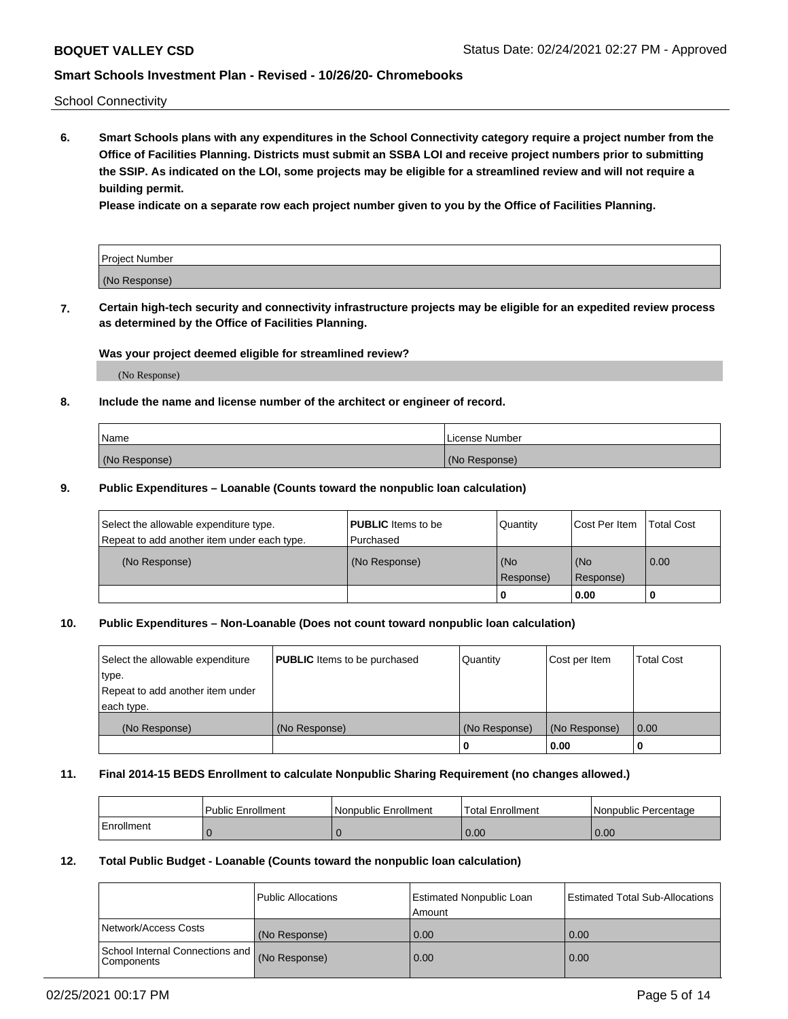School Connectivity

**6. Smart Schools plans with any expenditures in the School Connectivity category require a project number from the Office of Facilities Planning. Districts must submit an SSBA LOI and receive project numbers prior to submitting the SSIP. As indicated on the LOI, some projects may be eligible for a streamlined review and will not require a building permit.**

**Please indicate on a separate row each project number given to you by the Office of Facilities Planning.**

| Project Number |  |
|----------------|--|
| (No Response)  |  |

**7. Certain high-tech security and connectivity infrastructure projects may be eligible for an expedited review process as determined by the Office of Facilities Planning.**

## **Was your project deemed eligible for streamlined review?**

(No Response)

## **8. Include the name and license number of the architect or engineer of record.**

| Name          | License Number |
|---------------|----------------|
| (No Response) | (No Response)  |

## **9. Public Expenditures – Loanable (Counts toward the nonpublic loan calculation)**

| Select the allowable expenditure type.<br>Repeat to add another item under each type. | <b>PUBLIC</b> Items to be<br>l Purchased | Quantity           | Cost Per Item    | <b>Total Cost</b> |
|---------------------------------------------------------------------------------------|------------------------------------------|--------------------|------------------|-------------------|
| (No Response)                                                                         | (No Response)                            | l (No<br>Response) | (No<br>Response) | $\overline{0.00}$ |
|                                                                                       |                                          | O                  | 0.00             |                   |

## **10. Public Expenditures – Non-Loanable (Does not count toward nonpublic loan calculation)**

| Select the allowable expenditure | <b>PUBLIC</b> Items to be purchased | Quantity      | Cost per Item | <b>Total Cost</b> |
|----------------------------------|-------------------------------------|---------------|---------------|-------------------|
| type.                            |                                     |               |               |                   |
| Repeat to add another item under |                                     |               |               |                   |
| each type.                       |                                     |               |               |                   |
| (No Response)                    | (No Response)                       | (No Response) | (No Response) | 0.00              |
|                                  |                                     |               | 0.00          |                   |

#### **11. Final 2014-15 BEDS Enrollment to calculate Nonpublic Sharing Requirement (no changes allowed.)**

|            | l Public Enrollment | Nonpublic Enrollment | <b>Total Enrollment</b> | Nonpublic Percentage |
|------------|---------------------|----------------------|-------------------------|----------------------|
| Enrollment |                     |                      | 0.00                    | 0.00                 |

### **12. Total Public Budget - Loanable (Counts toward the nonpublic loan calculation)**

|                                                 | Public Allocations | Estimated Nonpublic Loan<br>Amount | <b>Estimated Total Sub-Allocations</b> |
|-------------------------------------------------|--------------------|------------------------------------|----------------------------------------|
| Network/Access Costs                            | (No Response)      | 0.00                               | 0.00                                   |
| School Internal Connections and<br>l Components | (No Response)      | 0.00                               | 0.00                                   |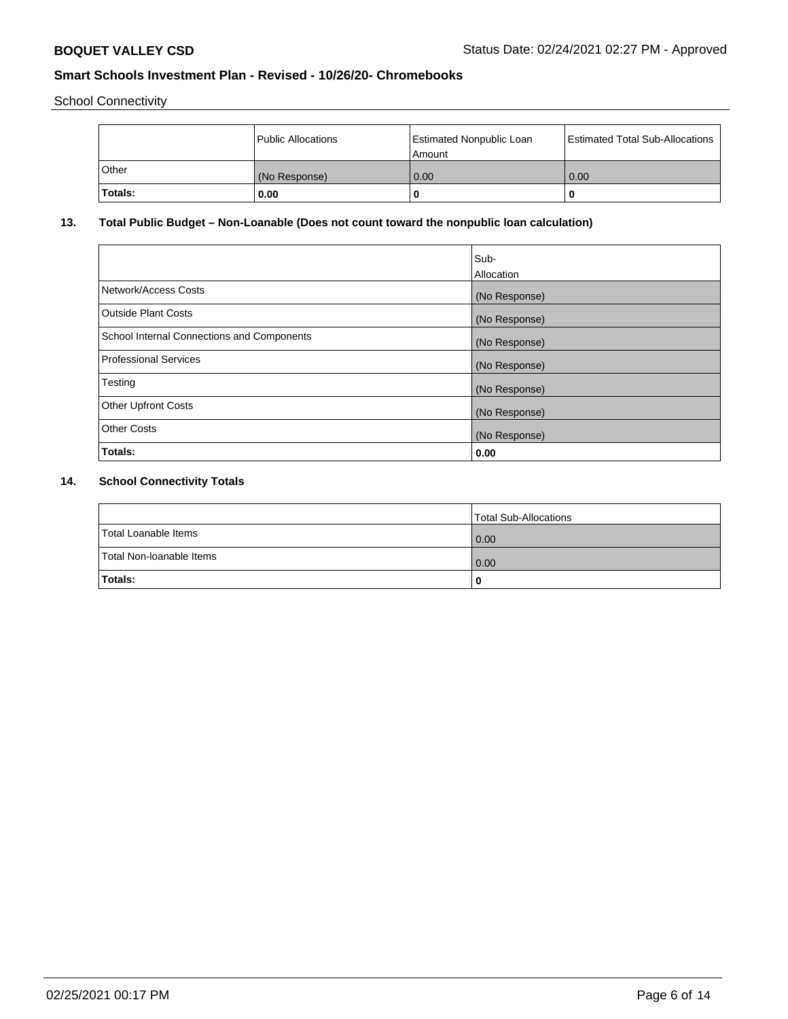School Connectivity

|                | Public Allocations | <b>Estimated Nonpublic Loan</b><br>l Amount | <b>Estimated Total Sub-Allocations</b> |
|----------------|--------------------|---------------------------------------------|----------------------------------------|
| l Other        | (No Response)      | 0.00                                        | 0.00                                   |
| <b>Totals:</b> | 0.00               | 0                                           |                                        |

# **13. Total Public Budget – Non-Loanable (Does not count toward the nonpublic loan calculation)**

|                                                   | Sub-<br>Allocation |
|---------------------------------------------------|--------------------|
|                                                   |                    |
| Network/Access Costs                              | (No Response)      |
| <b>Outside Plant Costs</b>                        | (No Response)      |
| <b>School Internal Connections and Components</b> | (No Response)      |
| Professional Services                             | (No Response)      |
| Testing                                           | (No Response)      |
| <b>Other Upfront Costs</b>                        | (No Response)      |
| <b>Other Costs</b>                                | (No Response)      |
| <b>Totals:</b>                                    | 0.00               |

# **14. School Connectivity Totals**

|                          | Total Sub-Allocations |
|--------------------------|-----------------------|
| Total Loanable Items     | 0.00                  |
| Total Non-Ioanable Items | 0.00                  |
| Totals:                  | 0                     |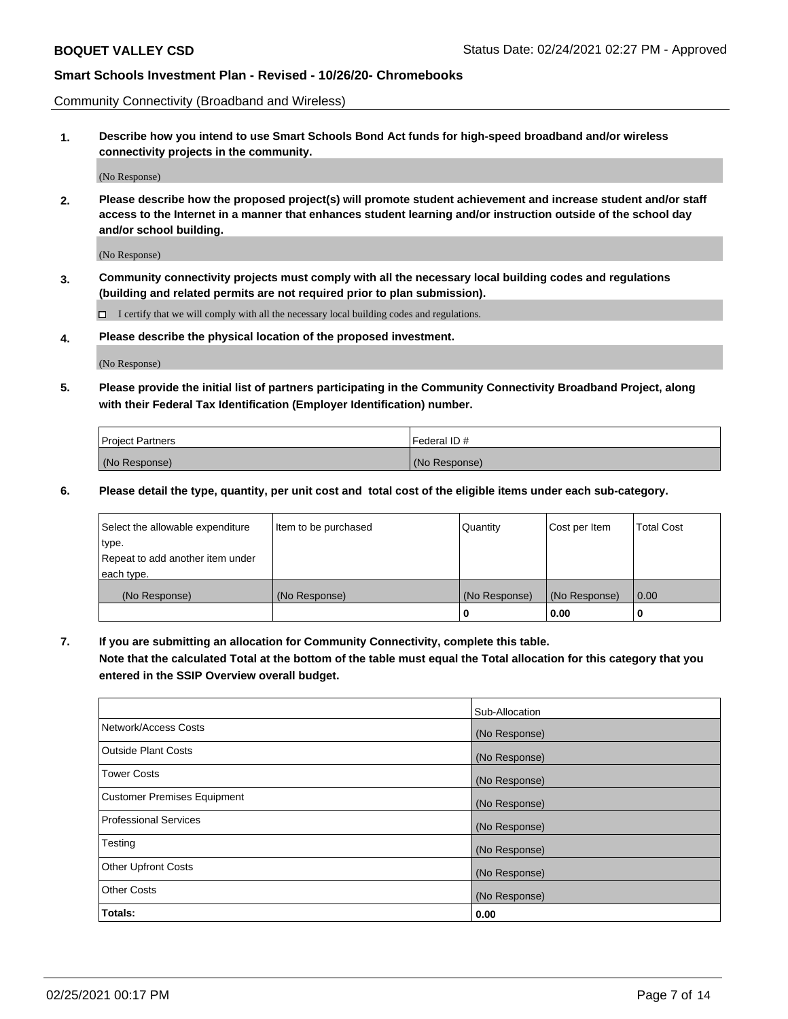Community Connectivity (Broadband and Wireless)

**1. Describe how you intend to use Smart Schools Bond Act funds for high-speed broadband and/or wireless connectivity projects in the community.**

(No Response)

**2. Please describe how the proposed project(s) will promote student achievement and increase student and/or staff access to the Internet in a manner that enhances student learning and/or instruction outside of the school day and/or school building.**

(No Response)

**3. Community connectivity projects must comply with all the necessary local building codes and regulations (building and related permits are not required prior to plan submission).**

 $\Box$  I certify that we will comply with all the necessary local building codes and regulations.

**4. Please describe the physical location of the proposed investment.**

(No Response)

**5. Please provide the initial list of partners participating in the Community Connectivity Broadband Project, along with their Federal Tax Identification (Employer Identification) number.**

| <b>Project Partners</b> | l Federal ID # |
|-------------------------|----------------|
| (No Response)           | (No Response)  |

**6. Please detail the type, quantity, per unit cost and total cost of the eligible items under each sub-category.**

| Select the allowable expenditure | Item to be purchased | Quantity      | Cost per Item | <b>Total Cost</b> |
|----------------------------------|----------------------|---------------|---------------|-------------------|
| type.                            |                      |               |               |                   |
| Repeat to add another item under |                      |               |               |                   |
| each type.                       |                      |               |               |                   |
| (No Response)                    | (No Response)        | (No Response) | (No Response) | 0.00              |
|                                  |                      | o             | 0.00          |                   |

**7. If you are submitting an allocation for Community Connectivity, complete this table.**

**Note that the calculated Total at the bottom of the table must equal the Total allocation for this category that you entered in the SSIP Overview overall budget.**

|                                    | Sub-Allocation |
|------------------------------------|----------------|
| Network/Access Costs               | (No Response)  |
| Outside Plant Costs                | (No Response)  |
| <b>Tower Costs</b>                 | (No Response)  |
| <b>Customer Premises Equipment</b> | (No Response)  |
| <b>Professional Services</b>       | (No Response)  |
| Testing                            | (No Response)  |
| <b>Other Upfront Costs</b>         | (No Response)  |
| <b>Other Costs</b>                 | (No Response)  |
| Totals:                            | 0.00           |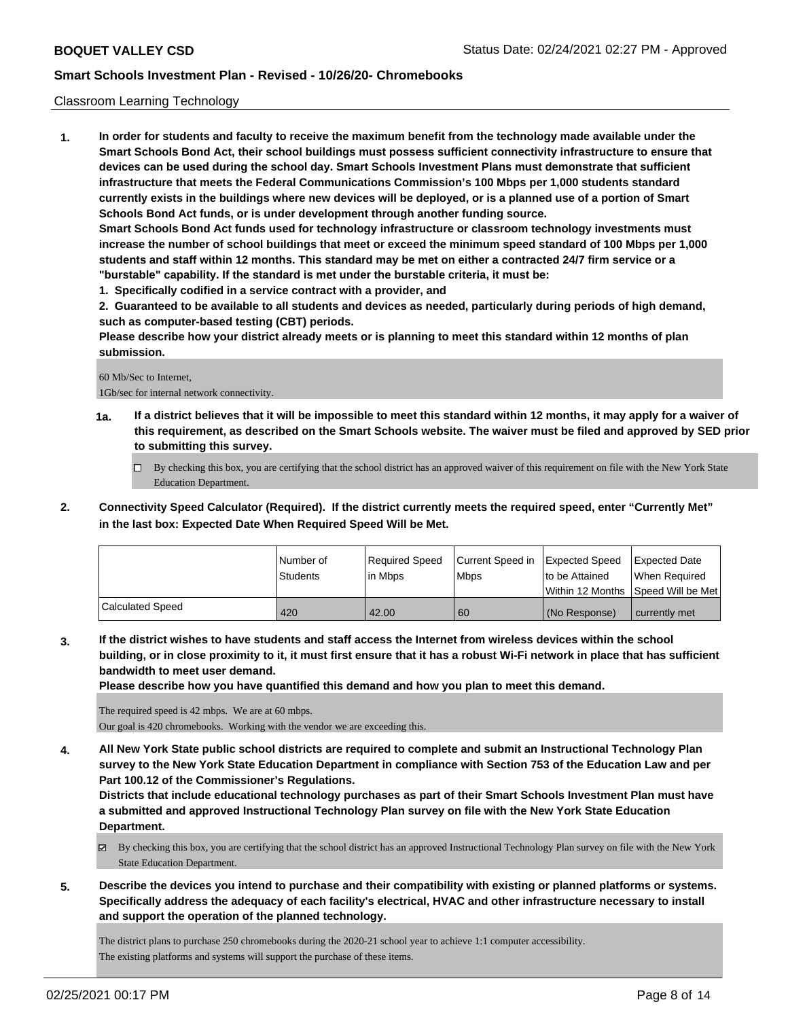## Classroom Learning Technology

**1. In order for students and faculty to receive the maximum benefit from the technology made available under the Smart Schools Bond Act, their school buildings must possess sufficient connectivity infrastructure to ensure that devices can be used during the school day. Smart Schools Investment Plans must demonstrate that sufficient infrastructure that meets the Federal Communications Commission's 100 Mbps per 1,000 students standard currently exists in the buildings where new devices will be deployed, or is a planned use of a portion of Smart Schools Bond Act funds, or is under development through another funding source. Smart Schools Bond Act funds used for technology infrastructure or classroom technology investments must**

**increase the number of school buildings that meet or exceed the minimum speed standard of 100 Mbps per 1,000 students and staff within 12 months. This standard may be met on either a contracted 24/7 firm service or a "burstable" capability. If the standard is met under the burstable criteria, it must be:**

**1. Specifically codified in a service contract with a provider, and**

**2. Guaranteed to be available to all students and devices as needed, particularly during periods of high demand, such as computer-based testing (CBT) periods.**

**Please describe how your district already meets or is planning to meet this standard within 12 months of plan submission.**

### 60 Mb/Sec to Internet,

1Gb/sec for internal network connectivity.

- **1a. If a district believes that it will be impossible to meet this standard within 12 months, it may apply for a waiver of this requirement, as described on the Smart Schools website. The waiver must be filed and approved by SED prior to submitting this survey.**
	- By checking this box, you are certifying that the school district has an approved waiver of this requirement on file with the New York State Education Department.
- **2. Connectivity Speed Calculator (Required). If the district currently meets the required speed, enter "Currently Met" in the last box: Expected Date When Required Speed Will be Met.**

|                  | l Number of<br><b>Students</b> | Required Speed<br>lin Mbps | Current Speed in Expected Speed<br>l Mbps | to be Attained | Expected Date<br>When Required<br>Within 12 Months 1Speed Will be Met1 |
|------------------|--------------------------------|----------------------------|-------------------------------------------|----------------|------------------------------------------------------------------------|
| Calculated Speed | 420                            | 42.00                      | 60                                        | (No Response)  | l currently met                                                        |

**3. If the district wishes to have students and staff access the Internet from wireless devices within the school building, or in close proximity to it, it must first ensure that it has a robust Wi-Fi network in place that has sufficient bandwidth to meet user demand.**

**Please describe how you have quantified this demand and how you plan to meet this demand.**

The required speed is 42 mbps. We are at 60 mbps.

Our goal is 420 chromebooks. Working with the vendor we are exceeding this.

**4. All New York State public school districts are required to complete and submit an Instructional Technology Plan survey to the New York State Education Department in compliance with Section 753 of the Education Law and per Part 100.12 of the Commissioner's Regulations.**

**Districts that include educational technology purchases as part of their Smart Schools Investment Plan must have a submitted and approved Instructional Technology Plan survey on file with the New York State Education Department.**

- By checking this box, you are certifying that the school district has an approved Instructional Technology Plan survey on file with the New York State Education Department.
- **5. Describe the devices you intend to purchase and their compatibility with existing or planned platforms or systems. Specifically address the adequacy of each facility's electrical, HVAC and other infrastructure necessary to install and support the operation of the planned technology.**

The district plans to purchase 250 chromebooks during the 2020-21 school year to achieve 1:1 computer accessibility. The existing platforms and systems will support the purchase of these items.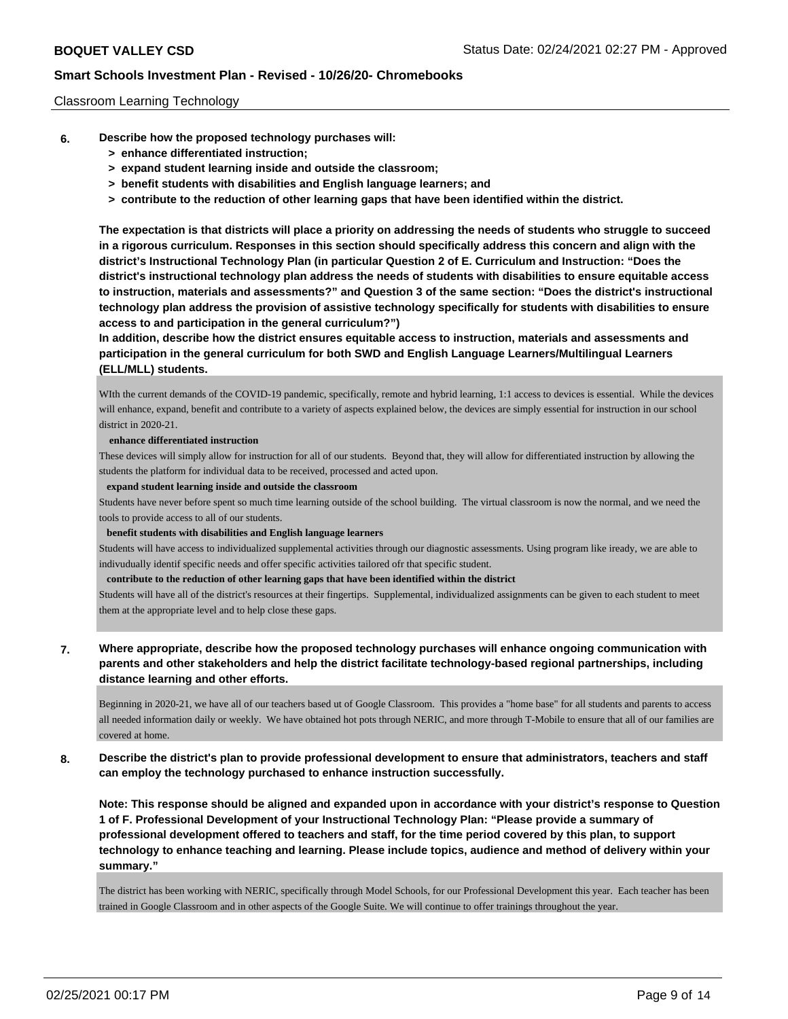## Classroom Learning Technology

- **6. Describe how the proposed technology purchases will:**
	- **> enhance differentiated instruction;**
	- **> expand student learning inside and outside the classroom;**
	- **> benefit students with disabilities and English language learners; and**
	- **> contribute to the reduction of other learning gaps that have been identified within the district.**

**The expectation is that districts will place a priority on addressing the needs of students who struggle to succeed in a rigorous curriculum. Responses in this section should specifically address this concern and align with the district's Instructional Technology Plan (in particular Question 2 of E. Curriculum and Instruction: "Does the district's instructional technology plan address the needs of students with disabilities to ensure equitable access to instruction, materials and assessments?" and Question 3 of the same section: "Does the district's instructional technology plan address the provision of assistive technology specifically for students with disabilities to ensure access to and participation in the general curriculum?")**

**In addition, describe how the district ensures equitable access to instruction, materials and assessments and participation in the general curriculum for both SWD and English Language Learners/Multilingual Learners (ELL/MLL) students.**

WIth the current demands of the COVID-19 pandemic, specifically, remote and hybrid learning, 1:1 access to devices is essential. While the devices will enhance, expand, benefit and contribute to a variety of aspects explained below, the devices are simply essential for instruction in our school district in 2020-21.

#### **enhance differentiated instruction**

These devices will simply allow for instruction for all of our students. Beyond that, they will allow for differentiated instruction by allowing the students the platform for individual data to be received, processed and acted upon.

#### **expand student learning inside and outside the classroom**

Students have never before spent so much time learning outside of the school building. The virtual classroom is now the normal, and we need the tools to provide access to all of our students.

#### **benefit students with disabilities and English language learners**

Students will have access to individualized supplemental activities through our diagnostic assessments. Using program like iready, we are able to indivudually identif specific needs and offer specific activities tailored ofr that specific student.

**contribute to the reduction of other learning gaps that have been identified within the district**

Students will have all of the district's resources at their fingertips. Supplemental, individualized assignments can be given to each student to meet them at the appropriate level and to help close these gaps.

## **7. Where appropriate, describe how the proposed technology purchases will enhance ongoing communication with parents and other stakeholders and help the district facilitate technology-based regional partnerships, including distance learning and other efforts.**

Beginning in 2020-21, we have all of our teachers based ut of Google Classroom. This provides a "home base" for all students and parents to access all needed information daily or weekly. We have obtained hot pots through NERIC, and more through T-Mobile to ensure that all of our families are covered at home.

## **8. Describe the district's plan to provide professional development to ensure that administrators, teachers and staff can employ the technology purchased to enhance instruction successfully.**

**Note: This response should be aligned and expanded upon in accordance with your district's response to Question 1 of F. Professional Development of your Instructional Technology Plan: "Please provide a summary of professional development offered to teachers and staff, for the time period covered by this plan, to support technology to enhance teaching and learning. Please include topics, audience and method of delivery within your summary."**

The district has been working with NERIC, specifically through Model Schools, for our Professional Development this year. Each teacher has been trained in Google Classroom and in other aspects of the Google Suite. We will continue to offer trainings throughout the year.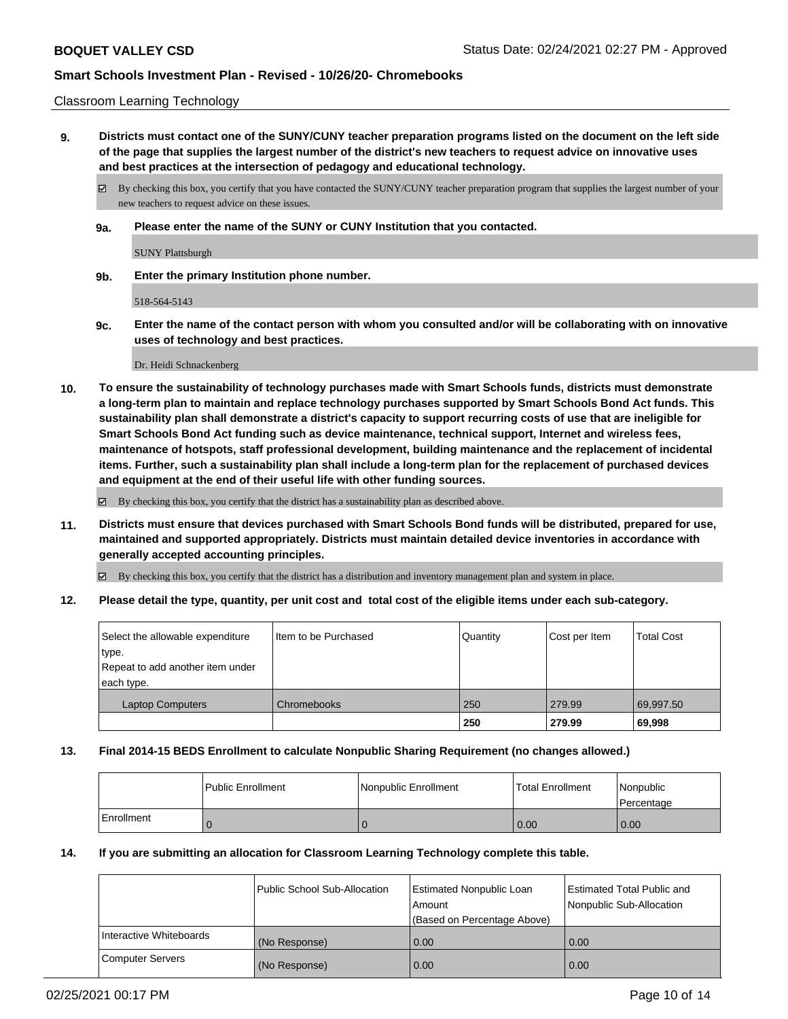### Classroom Learning Technology

**9. Districts must contact one of the SUNY/CUNY teacher preparation programs listed on the document on the left side of the page that supplies the largest number of the district's new teachers to request advice on innovative uses and best practices at the intersection of pedagogy and educational technology.**

By checking this box, you certify that you have contacted the SUNY/CUNY teacher preparation program that supplies the largest number of your new teachers to request advice on these issues.

**9a. Please enter the name of the SUNY or CUNY Institution that you contacted.**

SUNY Plattsburgh

**9b. Enter the primary Institution phone number.**

518-564-5143

**9c. Enter the name of the contact person with whom you consulted and/or will be collaborating with on innovative uses of technology and best practices.**

Dr. Heidi Schnackenberg

**10. To ensure the sustainability of technology purchases made with Smart Schools funds, districts must demonstrate a long-term plan to maintain and replace technology purchases supported by Smart Schools Bond Act funds. This sustainability plan shall demonstrate a district's capacity to support recurring costs of use that are ineligible for Smart Schools Bond Act funding such as device maintenance, technical support, Internet and wireless fees, maintenance of hotspots, staff professional development, building maintenance and the replacement of incidental items. Further, such a sustainability plan shall include a long-term plan for the replacement of purchased devices and equipment at the end of their useful life with other funding sources.**

By checking this box, you certify that the district has a sustainability plan as described above.

**11. Districts must ensure that devices purchased with Smart Schools Bond funds will be distributed, prepared for use, maintained and supported appropriately. Districts must maintain detailed device inventories in accordance with generally accepted accounting principles.**

By checking this box, you certify that the district has a distribution and inventory management plan and system in place.

**12. Please detail the type, quantity, per unit cost and total cost of the eligible items under each sub-category.**

| Select the allowable expenditure<br>type.<br>Repeat to add another item under<br>each type. | I Item to be Purchased | Quantity | Cost per Item | <b>Total Cost</b> |
|---------------------------------------------------------------------------------------------|------------------------|----------|---------------|-------------------|
| <b>Laptop Computers</b>                                                                     | Chromebooks            | 250      | 279.99        | 69,997.50         |
|                                                                                             |                        | 250      | 279.99        | 69,998            |

## **13. Final 2014-15 BEDS Enrollment to calculate Nonpublic Sharing Requirement (no changes allowed.)**

|            | Public Enrollment | Nonpublic Enrollment | <b>Total Enrollment</b> | Nonpublic<br>l Percentage |
|------------|-------------------|----------------------|-------------------------|---------------------------|
| Enrollment |                   |                      | 0.00                    | 0.00                      |

## **14. If you are submitting an allocation for Classroom Learning Technology complete this table.**

|                         | Public School Sub-Allocation | Estimated Nonpublic Loan<br>Amount | <b>Estimated Total Public and</b><br>Nonpublic Sub-Allocation |
|-------------------------|------------------------------|------------------------------------|---------------------------------------------------------------|
|                         |                              | (Based on Percentage Above)        |                                                               |
| Interactive Whiteboards | (No Response)                | 0.00                               | 0.00                                                          |
| <b>Computer Servers</b> | (No Response)                | 0.00                               | 0.00                                                          |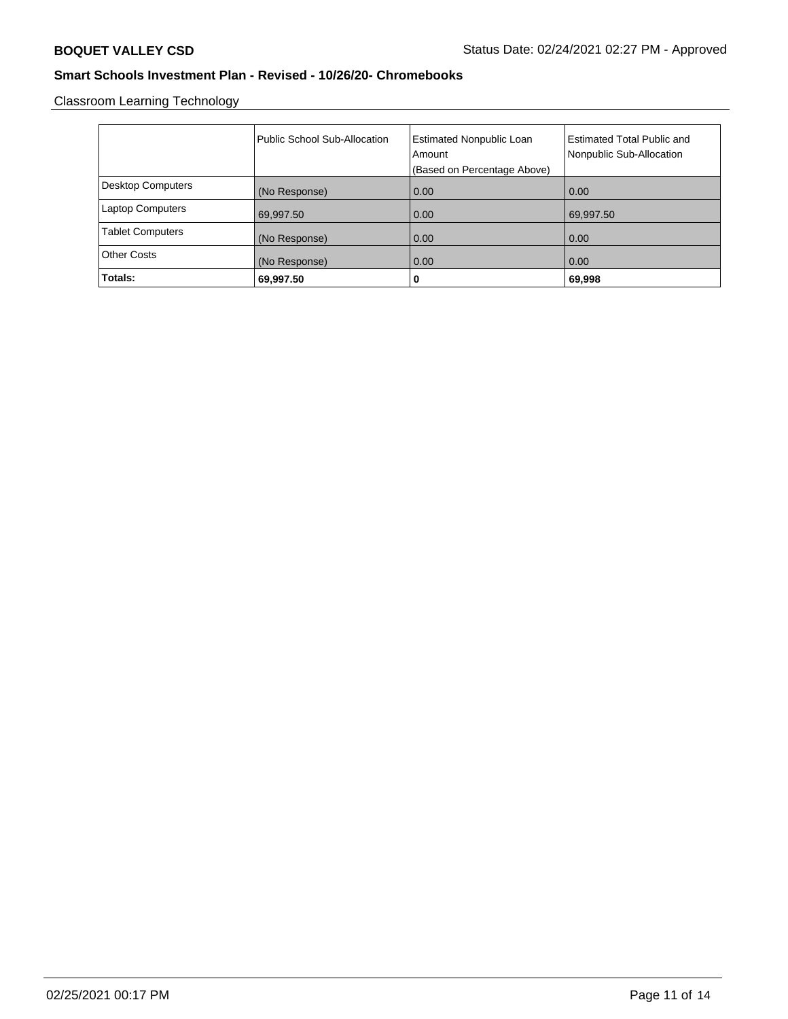Classroom Learning Technology

|                          | Public School Sub-Allocation | <b>Estimated Nonpublic Loan</b><br>Amount<br>(Based on Percentage Above) | <b>Estimated Total Public and</b><br>Nonpublic Sub-Allocation |
|--------------------------|------------------------------|--------------------------------------------------------------------------|---------------------------------------------------------------|
| <b>Desktop Computers</b> | (No Response)                | 0.00                                                                     | 0.00                                                          |
| <b>Laptop Computers</b>  | 69,997.50                    | 0.00                                                                     | 69,997.50                                                     |
| <b>Tablet Computers</b>  | (No Response)                | 0.00                                                                     | 0.00                                                          |
| <b>Other Costs</b>       | (No Response)                | 0.00                                                                     | 0.00                                                          |
| Totals:                  | 69,997.50                    | 0                                                                        | 69,998                                                        |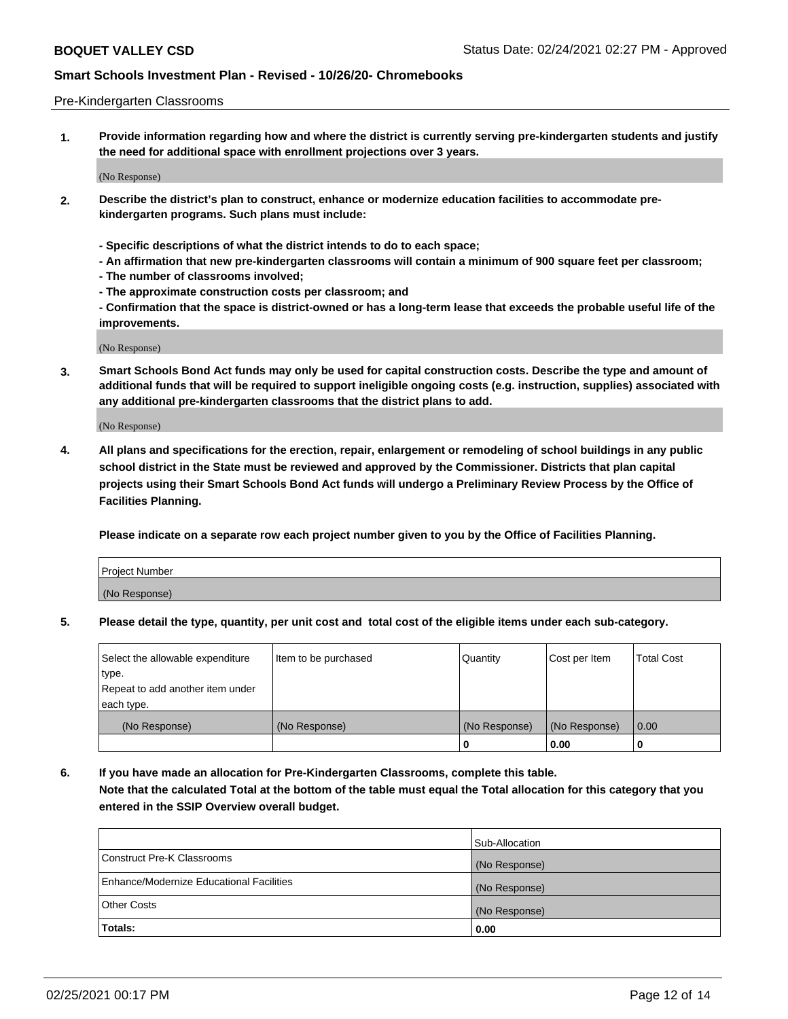### Pre-Kindergarten Classrooms

**1. Provide information regarding how and where the district is currently serving pre-kindergarten students and justify the need for additional space with enrollment projections over 3 years.**

(No Response)

- **2. Describe the district's plan to construct, enhance or modernize education facilities to accommodate prekindergarten programs. Such plans must include:**
	- **Specific descriptions of what the district intends to do to each space;**
	- **An affirmation that new pre-kindergarten classrooms will contain a minimum of 900 square feet per classroom;**
	- **The number of classrooms involved;**
	- **The approximate construction costs per classroom; and**
	- **Confirmation that the space is district-owned or has a long-term lease that exceeds the probable useful life of the improvements.**

(No Response)

**3. Smart Schools Bond Act funds may only be used for capital construction costs. Describe the type and amount of additional funds that will be required to support ineligible ongoing costs (e.g. instruction, supplies) associated with any additional pre-kindergarten classrooms that the district plans to add.**

(No Response)

**4. All plans and specifications for the erection, repair, enlargement or remodeling of school buildings in any public school district in the State must be reviewed and approved by the Commissioner. Districts that plan capital projects using their Smart Schools Bond Act funds will undergo a Preliminary Review Process by the Office of Facilities Planning.**

**Please indicate on a separate row each project number given to you by the Office of Facilities Planning.**

| Project Number |  |
|----------------|--|
| (No Response)  |  |
|                |  |

**5. Please detail the type, quantity, per unit cost and total cost of the eligible items under each sub-category.**

| Select the allowable expenditure | Item to be purchased | Quantity      | Cost per Item | <b>Total Cost</b> |
|----------------------------------|----------------------|---------------|---------------|-------------------|
| type.                            |                      |               |               |                   |
| Repeat to add another item under |                      |               |               |                   |
| each type.                       |                      |               |               |                   |
| (No Response)                    | (No Response)        | (No Response) | (No Response) | 0.00              |
|                                  |                      | υ             | 0.00          |                   |

**6. If you have made an allocation for Pre-Kindergarten Classrooms, complete this table. Note that the calculated Total at the bottom of the table must equal the Total allocation for this category that you entered in the SSIP Overview overall budget.**

|                                          | Sub-Allocation |
|------------------------------------------|----------------|
| Construct Pre-K Classrooms               | (No Response)  |
| Enhance/Modernize Educational Facilities | (No Response)  |
| <b>Other Costs</b>                       | (No Response)  |
| Totals:                                  | 0.00           |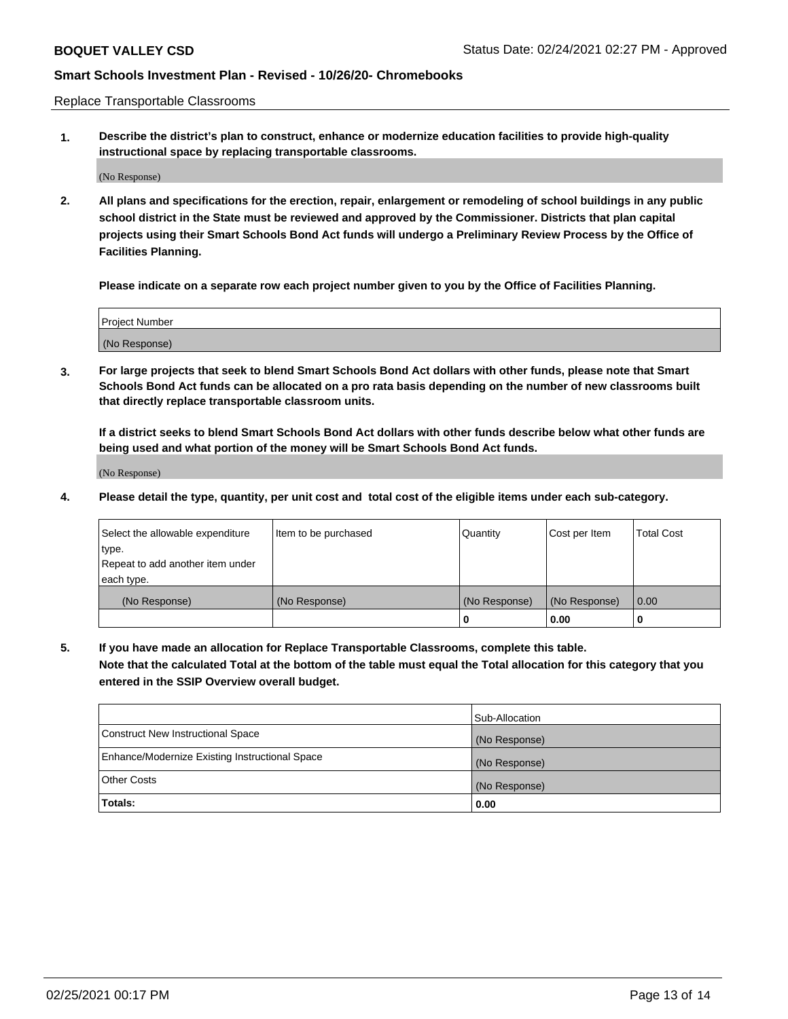Replace Transportable Classrooms

**1. Describe the district's plan to construct, enhance or modernize education facilities to provide high-quality instructional space by replacing transportable classrooms.**

(No Response)

**2. All plans and specifications for the erection, repair, enlargement or remodeling of school buildings in any public school district in the State must be reviewed and approved by the Commissioner. Districts that plan capital projects using their Smart Schools Bond Act funds will undergo a Preliminary Review Process by the Office of Facilities Planning.**

**Please indicate on a separate row each project number given to you by the Office of Facilities Planning.**

| Project Number |  |
|----------------|--|
|                |  |
| (No Response)  |  |

**3. For large projects that seek to blend Smart Schools Bond Act dollars with other funds, please note that Smart Schools Bond Act funds can be allocated on a pro rata basis depending on the number of new classrooms built that directly replace transportable classroom units.**

**If a district seeks to blend Smart Schools Bond Act dollars with other funds describe below what other funds are being used and what portion of the money will be Smart Schools Bond Act funds.**

(No Response)

**4. Please detail the type, quantity, per unit cost and total cost of the eligible items under each sub-category.**

| Select the allowable expenditure | Item to be purchased | Quantity      | Cost per Item | Total Cost |
|----------------------------------|----------------------|---------------|---------------|------------|
| ∣type.                           |                      |               |               |            |
| Repeat to add another item under |                      |               |               |            |
| each type.                       |                      |               |               |            |
| (No Response)                    | (No Response)        | (No Response) | (No Response) | 0.00       |
|                                  |                      | u             | 0.00          |            |

**5. If you have made an allocation for Replace Transportable Classrooms, complete this table. Note that the calculated Total at the bottom of the table must equal the Total allocation for this category that you entered in the SSIP Overview overall budget.**

|                                                | Sub-Allocation |
|------------------------------------------------|----------------|
| Construct New Instructional Space              | (No Response)  |
| Enhance/Modernize Existing Instructional Space | (No Response)  |
| Other Costs                                    | (No Response)  |
| Totals:                                        | 0.00           |